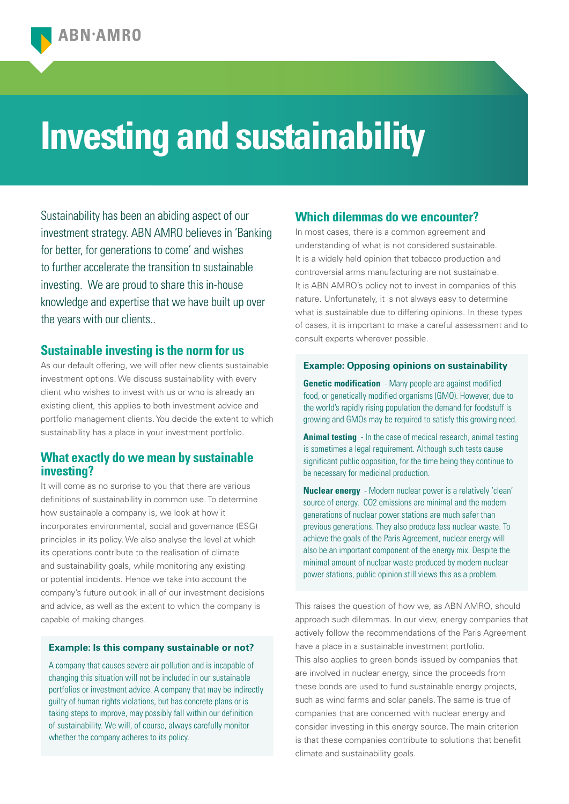# **Investing and sustainability**

Sustainability has been an abiding aspect of our investment strategy. ABN AMRO believes in 'Banking for better, for generations to come' and wishes to further accelerate the transition to sustainable investing. We are proud to share this in-house knowledge and expertise that we have built up over the years with our clients..

## **Sustainable investing is the norm for us**

As our default offering, we will offer new clients sustainable investment options. We discuss sustainability with every client who wishes to invest with us or who is already an existing client, this applies to both investment advice and portfolio management clients. You decide the extent to which sustainability has a place in your investment portfolio.

# **What exactly do we mean by sustainable investing?**

It will come as no surprise to you that there are various definitions of sustainability in common use. To determine how sustainable a company is, we look at how it incorporates environmental, social and governance (ESG) principles in its policy. We also analyse the level at which its operations contribute to the realisation of climate and sustainability goals, while monitoring any existing or potential incidents. Hence we take into account the company's future outlook in all of our investment decisions and advice, as well as the extent to which the company is capable of making changes.

### **Example: Is this company sustainable or not?**

A company that causes severe air pollution and is incapable of changing this situation will not be included in our sustainable portfolios or investment advice. A company that may be indirectly guilty of human rights violations, but has concrete plans or is taking steps to improve, may possibly fall within our definition of sustainability. We will, of course, always carefully monitor whether the company adheres to its policy.

# **Which dilemmas do we encounter?**

In most cases, there is a common agreement and understanding of what is not considered sustainable. It is a widely held opinion that tobacco production and controversial arms manufacturing are not sustainable. It is ABN AMRO's policy not to invest in companies of this nature. Unfortunately, it is not always easy to determine what is sustainable due to differing opinions. In these types of cases, it is important to make a careful assessment and to consult experts wherever possible.

#### **Example: Opposing opinions on sustainability**

**Genetic modification** - Many people are against modified food, or genetically modified organisms (GMO). However, due to the world's rapidly rising population the demand for foodstuff is growing and GMOs may be required to satisfy this growing need.

**Animal testing** - In the case of medical research, animal testing is sometimes a legal requirement. Although such tests cause significant public opposition, for the time being they continue to be necessary for medicinal production.

**Nuclear energy** - Modern nuclear power is a relatively 'clean' source of energy. CO2 emissions are minimal and the modern generations of nuclear power stations are much safer than previous generations. They also produce less nuclear waste. To achieve the goals of the Paris Agreement, nuclear energy will also be an important component of the energy mix. Despite the minimal amount of nuclear waste produced by modern nuclear power stations, public opinion still views this as a problem.

This raises the question of how we, as ABN AMRO, should approach such dilemmas. In our view, energy companies that actively follow the recommendations of the Paris Agreement have a place in a sustainable investment portfolio. This also applies to green bonds issued by companies that are involved in nuclear energy, since the proceeds from these bonds are used to fund sustainable energy projects, such as wind farms and solar panels. The same is true of companies that are concerned with nuclear energy and consider investing in this energy source. The main criterion is that these companies contribute to solutions that benefit climate and sustainability goals.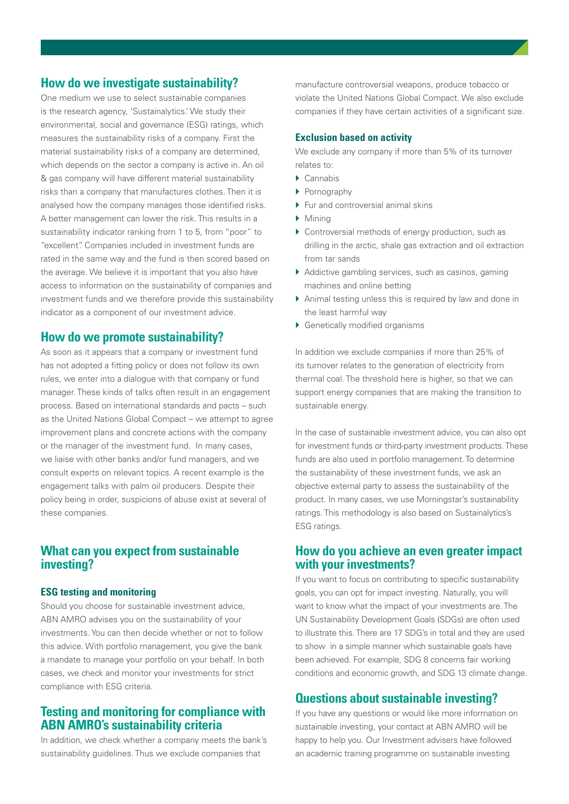## **How do we investigate sustainability?**

One medium we use to select sustainable companies is the research agency, 'Sustainalytics.' We study their environmental, social and governance (ESG) ratings, which measures the sustainability risks of a company. First the material sustainability risks of a company are determined, which depends on the sector a company is active in. An oil & gas company will have different material sustainability risks than a company that manufactures clothes. Then it is analysed how the company manages those identified risks. A better management can lower the risk. This results in a sustainability indicator ranking from 1 to 5, from "poor" to "excellent". Companies included in investment funds are rated in the same way and the fund is then scored based on the average. We believe it is important that you also have access to information on the sustainability of companies and investment funds and we therefore provide this sustainability indicator as a component of our investment advice.

## **How do we promote sustainability?**

As soon as it appears that a company or investment fund has not adopted a fitting policy or does not follow its own rules, we enter into a dialogue with that company or fund manager. These kinds of talks often result in an engagement process. Based on international standards and pacts – such as the United Nations Global Compact – we attempt to agree improvement plans and concrete actions with the company or the manager of the investment fund. In many cases, we liaise with other banks and/or fund managers, and we consult experts on relevant topics. A recent example is the engagement talks with palm oil producers. Despite their policy being in order, suspicions of abuse exist at several of these companies.

# **What can you expect from sustainable investing?**

## **ESG testing and monitoring**

Should you choose for sustainable investment advice, ABN AMRO advises you on the sustainability of your investments. You can then decide whether or not to follow this advice. With portfolio management, you give the bank a mandate to manage your portfolio on your behalf. In both cases, we check and monitor your investments for strict compliance with ESG criteria.

# **Testing and monitoring for compliance with ABN AMRO's sustainability criteria**

In addition, we check whether a company meets the bank's sustainability guidelines. Thus we exclude companies that

manufacture controversial weapons, produce tobacco or violate the United Nations Global Compact. We also exclude companies if they have certain activities of a significant size.

## **Exclusion based on activity**

We exclude any company if more than 5% of its turnover relates to:

- $\blacktriangleright$  Cannabis
- } Pornography
- ▶ Fur and controversial animal skins
- $\blacktriangleright$  Mining
- } Controversial methods of energy production, such as drilling in the arctic, shale gas extraction and oil extraction from tar sands
- } Addictive gambling services, such as casinos, gaming machines and online betting
- } Animal testing unless this is required by law and done in the least harmful way
- } Genetically modified organisms

In addition we exclude companies if more than 25% of its turnover relates to the generation of electricity from thermal coal. The threshold here is higher, so that we can support energy companies that are making the transition to sustainable energy.

In the case of sustainable investment advice, you can also opt for investment funds or third-party investment products. These funds are also used in portfolio management. To determine the sustainability of these investment funds, we ask an objective external party to assess the sustainability of the product. In many cases, we use Morningstar's sustainability ratings. This methodology is also based on Sustainalytics's ESG ratings.

# **How do you achieve an even greater impact with your investments?**

If you want to focus on contributing to specific sustainability goals, you can opt for impact investing. Naturally, you will want to know what the impact of your investments are. The UN Sustainability Development Goals (SDGs) are often used to illustrate this. There are 17 SDG's in total and they are used to show in a simple manner which sustainable goals have been achieved. For example, SDG 8 concerns fair working conditions and economic growth, and SDG 13 climate change.

## **Questions about sustainable investing?**

If you have any questions or would like more information on sustainable investing, your contact at ABN AMRO will be happy to help you. Our Investment advisers have followed an academic training programme on sustainable investing